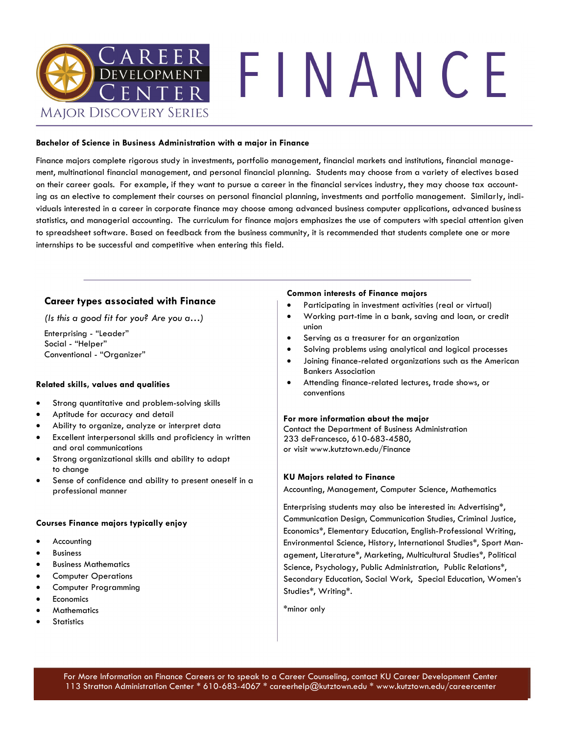

#### **Bachelor of Science in Business Administration with a major in Finance**

Finance majors complete rigorous study in investments, portfolio management, financial markets and institutions, financial management, multinational financial management, and personal financial planning. Students may choose from a variety of electives based on their career goals. For example, if they want to pursue a career in the financial services industry, they may choose tax accounting as an elective to complement their courses on personal financial planning, investments and portfolio management. Similarly, individuals interested in a career in corporate finance may choose among advanced business computer applications, advanced business statistics, and managerial accounting. The curriculum for finance majors emphasizes the use of computers with special attention given to spreadsheet software. Based on feedback from the business community, it is recommended that students complete one or more internships to be successful and competitive when entering this field.

## **Career types associated with Finance**

*(Is this a good fit for you? Are you a…)*

Enterprising - "Leader" Social - "Helper" Conventional - "Organizer"

#### **Related skills, values and qualities**

- Strong quantitative and problem-solving skills
- Aptitude for accuracy and detail
- Ability to organize, analyze or interpret data
- Excellent interpersonal skills and proficiency in written and oral communications
- Strong organizational skills and ability to adapt to change
- Sense of confidence and ability to present oneself in a professional manner

#### **Courses Finance majors typically enjoy**

- **Accounting**
- **Business**
- Business Mathematics
- Computer Operations
- Computer Programming
- **Economics**
- **Mathematics**
- **Statistics**

#### **Common interests of Finance majors**

- Participating in investment activities (real or virtual)
- Working part-time in a bank, saving and loan, or credit union
- Serving as a treasurer for an organization
- Solving problems using analytical and logical processes
- Joining finance-related organizations such as the American Bankers Association
- Attending finance-related lectures, trade shows, or conventions

#### **For more information about the major**

Contact the Department of Business Administration 233 deFrancesco, 610-683-4580, or visit www.kutztown.edu/Finance

#### **KU Majors related to Finance**

Accounting, Management, Computer Science, Mathematics

Enterprising students may also be interested in: Advertising\*, Communication Design, Communication Studies, Criminal Justice, Economics\*, Elementary Education, English-Professional Writing, Environmental Science, History, International Studies\*, Sport Management, Literature\*, Marketing, Multicultural Studies\*, Political Science, Psychology, Public Administration, Public Relations\*, Secondary Education, Social Work, Special Education, Women's Studies\*, Writing\*.

\*minor only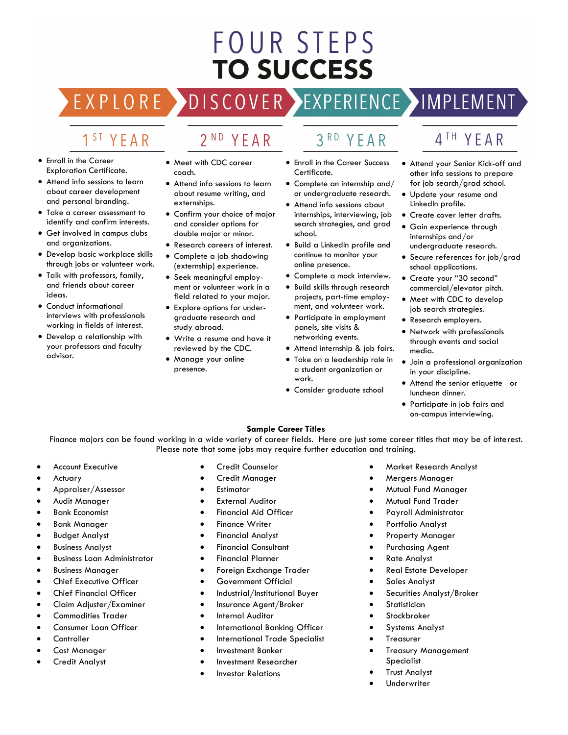# FOUR STEPS **TO SUCCESS**

DISCOVER EXPERIENCE MOPLEMENT EXPLORE >

# 1<sup>ST</sup> YEAR

- Enroll in the Career Exploration Certificate.
- Attend info sessions to learn about career development and personal branding.
- Take a career assessment to identify and confirm interests.
- Get involved in campus clubs and organizations.
- Develop basic workplace skills through jobs or volunteer work.
- Talk with professors, family, and friends about career ideas.
- Conduct informational interviews with professionals working in fields of interest.
- Develop a relationship with your professors and faculty advisor.

• Meet with CDC career

2<sup>ND</sup> YEAR

- coach. • Attend info sessions to learn
- about resume writing, and externships. • Confirm your choice of major
- and consider options for double major or minor.
- Research careers of interest.
- Complete a job shadowing (externship) experience.
- Seek meaningful employment or volunteer work in a field related to your major.
- Explore options for undergraduate research and study abroad.
- Write a resume and have it reviewed by the CDC.
- Manage your online presence.
- $3<sup>RD</sup>$ YFAR
- Enroll in the Career Success Certificate.
- Complete an internship and/ or undergraduate research.
- Attend info sessions about internships, interviewing, job search strategies, and grad school.
- Build a LinkedIn profile and continue to monitor your online presence.
- Complete a mock interview.
- Build skills through research projects, part-time employment, and volunteer work.
- Participate in employment panels, site visits & networking events.
- Attend internship & job fairs.
- Take on a leadership role in a student organization or work.
- Consider graduate school

# 4TH YFAR

- Attend your Senior Kick-off and other info sessions to prepare for job search/grad school.
- Update your resume and LinkedIn profile.
- Create cover letter drafts.
- Gain experience through internships and/or undergraduate research.
- Secure references for job/grad school applications.
- Create your "30 second" commercial/elevator pitch.
- Meet with CDC to develop job search strategies.
- Research employers.
- Network with professionals through events and social media.
- Join a professional organization in your discipline.
- Attend the senior etiquette or luncheon dinner.
- Participate in job fairs and on-campus interviewing.

### **Sample Career Titles**

Finance majors can be found working in a wide variety of career fields. Here are just some career titles that may be of interest. Please note that some jobs may require further education and training.

- Account Executive
- **Actuary**
- Appraiser/Assessor
- Audit Manager
- Bank Economist
- Bank Manager
- Budget Analyst
- Business Analyst
- Business Loan Administrator
- Business Manager
- Chief Executive Officer
- Chief Financial Officer
- Claim Adjuster/Examiner
- Commodities Trader
- Consumer Loan Officer
- **Controller**
- Cost Manager
- Credit Analyst
- Credit Counselor
- Credit Manager
- **Estimator**
- **External Auditor**
- Financial Aid Officer
- **Finance Writer**
- Financial Analyst
- Financial Consultant
- Financial Planner
- Foreign Exchange Trader
- Government Official
- Industrial/Institutional Buyer
- Insurance Agent/Broker
- Internal Auditor
- International Banking Officer
- International Trade Specialist
- Investment Banker
- Investment Researcher
- Investor Relations
- Market Research Analyst
- Mergers Manager
- Mutual Fund Manager
- Mutual Fund Trader
- Payroll Administrator
- Portfolio Analyst
- Property Manager
- Purchasing Agent
- Rate Analyst
- Real Estate Developer
- Sales Analyst
- Securities Analyst/Broker

• Treasury Management

- **Statistician**
- **Stockbroker**
- Systems Analyst

Specialist **Trust Analyst Underwriter** 

**Treasurer**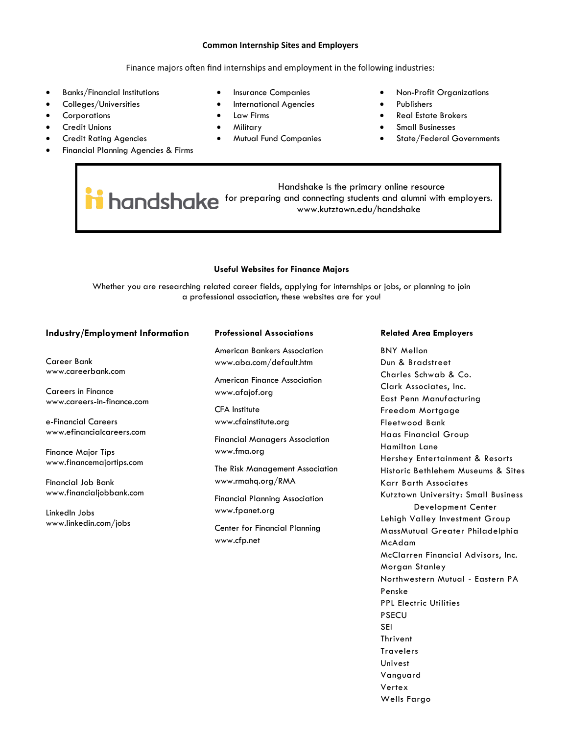#### **Common Internship Sites and Employers**

#### Finance majors often find internships and employment in the following industries:

- Banks/Financial Institutions
- Colleges/Universities
- **Corporations**
- **Credit Unions**
- Credit Rating Agencies
- Financial Planning Agencies & Firms
- Insurance Companies
- International Agencies
- Law Firms
- Military
- Mutual Fund Companies
- Non-Profit Organizations
- Publishers
- Real Estate Brokers
- Small Businesses
- State/Federal Governments

 Handshake is the primary online resource **handshake** for preparing and connecting students and alumni with employers. www.kutztown.edu/handshake

#### **Useful Websites for Finance Majors**

Whether you are researching related career fields, applying for internships or jobs, or planning to join a professional association, these websites are for you!

#### **Industry/Employment Information**

Career Bank www.careerbank.com

Careers in Finance www.careers-in-finance.com

e-Financial Careers www.efinancialcareers.com

Finance Major Tips www.financemajortips.com

Financial Job Bank www.financialjobbank.com

LinkedIn Jobs www.linkedin.com/jobs

#### **Professional Associations**

American Bankers Association www.aba.com/default.htm

American Finance Association www.afajof.org

CFA Institute www.cfainstitute.org

Financial Managers Association www.fma.org

The Risk Management Association www.rmahq.org/RMA

Financial Planning Association www.fpanet.org

Center for Financial Planning www.cfp.net

#### **Related Area Employers**

BNY Mellon Dun & Bradstreet Charles Schwab & Co. Clark Associates, Inc. East Penn Manufacturing Freedom Mortgage Fleetwood Bank Haas Financial Group Hamilton Lane Hershey Entertainment & Resorts Historic Bethlehem Museums & Sites Karr Barth Associates Kutztown University: Small Business Development Center Lehigh Valley Investment Group MassMutual Greater Philadelphia McAdam McClarren Financial Advisors, Inc. Morgan Stanley Northwestern Mutual - Eastern PA Penske PPL Electric Utilities PSECU SEI Thrivent **Travelers** Univest Vanguard Vertex Wells Fargo